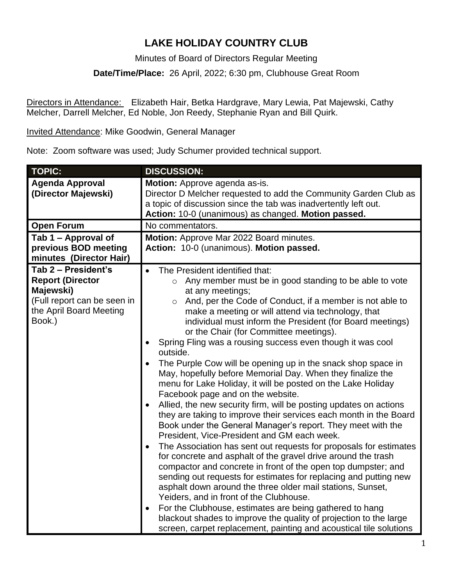## **LAKE HOLIDAY COUNTRY CLUB**

Minutes of Board of Directors Regular Meeting

**Date/Time/Place:** 26 April, 2022; 6:30 pm, Clubhouse Great Room

Directors in Attendance: Elizabeth Hair, Betka Hardgrave, Mary Lewia, Pat Majewski, Cathy Melcher, Darrell Melcher, Ed Noble, Jon Reedy, Stephanie Ryan and Bill Quirk.

Invited Attendance: Mike Goodwin, General Manager

Note: Zoom software was used; Judy Schumer provided technical support.

| <b>TOPIC:</b>                                                                                                                   | <b>DISCUSSION:</b>                                                                                                                                                                                                                                                                                                                                                                                                                                                                                                                                                                                                                                                                                                                                                                                                                                                                                                                                                                                                                                                                                                                                                                                                                                                                                                                                                                                                                                                                                                                                                |
|---------------------------------------------------------------------------------------------------------------------------------|-------------------------------------------------------------------------------------------------------------------------------------------------------------------------------------------------------------------------------------------------------------------------------------------------------------------------------------------------------------------------------------------------------------------------------------------------------------------------------------------------------------------------------------------------------------------------------------------------------------------------------------------------------------------------------------------------------------------------------------------------------------------------------------------------------------------------------------------------------------------------------------------------------------------------------------------------------------------------------------------------------------------------------------------------------------------------------------------------------------------------------------------------------------------------------------------------------------------------------------------------------------------------------------------------------------------------------------------------------------------------------------------------------------------------------------------------------------------------------------------------------------------------------------------------------------------|
| <b>Agenda Approval</b><br>(Director Majewski)                                                                                   | Motion: Approve agenda as-is.<br>Director D Melcher requested to add the Community Garden Club as<br>a topic of discussion since the tab was inadvertently left out.<br>Action: 10-0 (unanimous) as changed. Motion passed.                                                                                                                                                                                                                                                                                                                                                                                                                                                                                                                                                                                                                                                                                                                                                                                                                                                                                                                                                                                                                                                                                                                                                                                                                                                                                                                                       |
| <b>Open Forum</b>                                                                                                               | No commentators.                                                                                                                                                                                                                                                                                                                                                                                                                                                                                                                                                                                                                                                                                                                                                                                                                                                                                                                                                                                                                                                                                                                                                                                                                                                                                                                                                                                                                                                                                                                                                  |
| Tab 1 - Approval of<br>previous BOD meeting<br>minutes (Director Hair)                                                          | Motion: Approve Mar 2022 Board minutes.<br>Action: 10-0 (unanimous). Motion passed.                                                                                                                                                                                                                                                                                                                                                                                                                                                                                                                                                                                                                                                                                                                                                                                                                                                                                                                                                                                                                                                                                                                                                                                                                                                                                                                                                                                                                                                                               |
| Tab 2 - President's<br><b>Report (Director</b><br>Majewski)<br>(Full report can be seen in<br>the April Board Meeting<br>Book.) | The President identified that:<br>$\bullet$<br>Any member must be in good standing to be able to vote<br>$\circ$<br>at any meetings;<br>And, per the Code of Conduct, if a member is not able to<br>$\circ$<br>make a meeting or will attend via technology, that<br>individual must inform the President (for Board meetings)<br>or the Chair (for Committee meetings).<br>Spring Fling was a rousing success even though it was cool<br>outside.<br>The Purple Cow will be opening up in the snack shop space in<br>May, hopefully before Memorial Day. When they finalize the<br>menu for Lake Holiday, it will be posted on the Lake Holiday<br>Facebook page and on the website.<br>Allied, the new security firm, will be posting updates on actions<br>they are taking to improve their services each month in the Board<br>Book under the General Manager's report. They meet with the<br>President, Vice-President and GM each week.<br>The Association has sent out requests for proposals for estimates<br>$\bullet$<br>for concrete and asphalt of the gravel drive around the trash<br>compactor and concrete in front of the open top dumpster; and<br>sending out requests for estimates for replacing and putting new<br>asphalt down around the three older mail stations, Sunset,<br>Yeiders, and in front of the Clubhouse.<br>For the Clubhouse, estimates are being gathered to hang<br>$\bullet$<br>blackout shades to improve the quality of projection to the large<br>screen, carpet replacement, painting and acoustical tile solutions |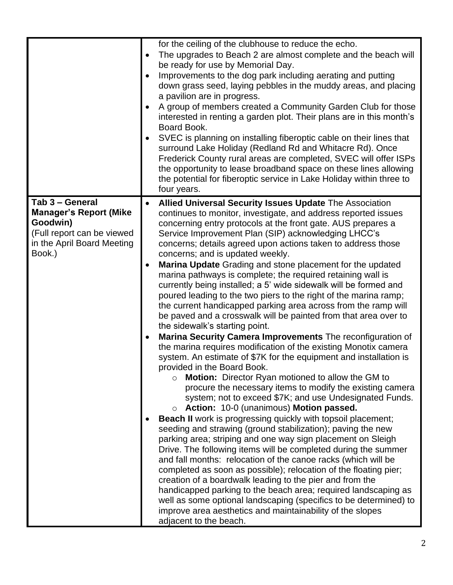|                                                                                                                                    |           | for the ceiling of the clubhouse to reduce the echo.<br>The upgrades to Beach 2 are almost complete and the beach will<br>be ready for use by Memorial Day.<br>Improvements to the dog park including aerating and putting<br>down grass seed, laying pebbles in the muddy areas, and placing<br>a pavilion are in progress.<br>A group of members created a Community Garden Club for those<br>interested in renting a garden plot. Their plans are in this month's<br>Board Book.<br>SVEC is planning on installing fiberoptic cable on their lines that<br>surround Lake Holiday (Redland Rd and Whitacre Rd). Once<br>Frederick County rural areas are completed, SVEC will offer ISPs                                                                                                                                                                                                                                                                                                                                                                                                                                                                                                                                                                                                                                                                                                                                                                                                                                                                                                                                                                                                                                                                                                                                                                                                                                                                             |
|------------------------------------------------------------------------------------------------------------------------------------|-----------|------------------------------------------------------------------------------------------------------------------------------------------------------------------------------------------------------------------------------------------------------------------------------------------------------------------------------------------------------------------------------------------------------------------------------------------------------------------------------------------------------------------------------------------------------------------------------------------------------------------------------------------------------------------------------------------------------------------------------------------------------------------------------------------------------------------------------------------------------------------------------------------------------------------------------------------------------------------------------------------------------------------------------------------------------------------------------------------------------------------------------------------------------------------------------------------------------------------------------------------------------------------------------------------------------------------------------------------------------------------------------------------------------------------------------------------------------------------------------------------------------------------------------------------------------------------------------------------------------------------------------------------------------------------------------------------------------------------------------------------------------------------------------------------------------------------------------------------------------------------------------------------------------------------------------------------------------------------------|
|                                                                                                                                    |           | the opportunity to lease broadband space on these lines allowing<br>the potential for fiberoptic service in Lake Holiday within three to<br>four years.                                                                                                                                                                                                                                                                                                                                                                                                                                                                                                                                                                                                                                                                                                                                                                                                                                                                                                                                                                                                                                                                                                                                                                                                                                                                                                                                                                                                                                                                                                                                                                                                                                                                                                                                                                                                                |
| Tab 3 - General<br><b>Manager's Report (Mike</b><br>Goodwin)<br>(Full report can be viewed<br>in the April Board Meeting<br>Book.) | $\bullet$ | Allied Universal Security Issues Update The Association<br>continues to monitor, investigate, and address reported issues<br>concerning entry protocols at the front gate. AUS prepares a<br>Service Improvement Plan (SIP) acknowledging LHCC's<br>concerns; details agreed upon actions taken to address those<br>concerns; and is updated weekly.<br>Marina Update Grading and stone placement for the updated<br>marina pathways is complete; the required retaining wall is<br>currently being installed; a 5' wide sidewalk will be formed and<br>poured leading to the two piers to the right of the marina ramp;<br>the current handicapped parking area across from the ramp will<br>be paved and a crosswalk will be painted from that area over to<br>the sidewalk's starting point.<br>Marina Security Camera Improvements The reconfiguration of<br>the marina requires modification of the existing Monotix camera<br>system. An estimate of \$7K for the equipment and installation is<br>provided in the Board Book.<br>Motion: Director Ryan motioned to allow the GM to<br>$\circ$<br>procure the necessary items to modify the existing camera<br>system; not to exceed \$7K; and use Undesignated Funds.<br>Action: 10-0 (unanimous) Motion passed.<br>Beach II work is progressing quickly with topsoil placement;<br>seeding and strawing (ground stabilization); paving the new<br>parking area; striping and one way sign placement on Sleigh<br>Drive. The following items will be completed during the summer<br>and fall months: relocation of the canoe racks (which will be<br>completed as soon as possible); relocation of the floating pier;<br>creation of a boardwalk leading to the pier and from the<br>handicapped parking to the beach area; required landscaping as<br>well as some optional landscaping (specifics to be determined) to<br>improve area aesthetics and maintainability of the slopes<br>adjacent to the beach. |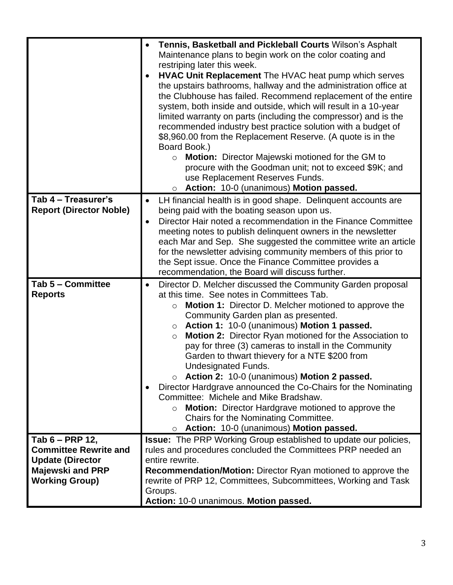|                                                                                                                                | Tennis, Basketball and Pickleball Courts Wilson's Asphalt<br>Maintenance plans to begin work on the color coating and<br>restriping later this week.<br>HVAC Unit Replacement The HVAC heat pump which serves<br>the upstairs bathrooms, hallway and the administration office at<br>the Clubhouse has failed. Recommend replacement of the entire<br>system, both inside and outside, which will result in a 10-year<br>limited warranty on parts (including the compressor) and is the<br>recommended industry best practice solution with a budget of<br>\$8,960.00 from the Replacement Reserve. (A quote is in the<br>Board Book.)<br><b>Motion:</b> Director Majewski motioned for the GM to<br>$\circ$<br>procure with the Goodman unit; not to exceed \$9K; and<br>use Replacement Reserves Funds.<br>Action: 10-0 (unanimous) Motion passed.<br>$\circ$ |
|--------------------------------------------------------------------------------------------------------------------------------|------------------------------------------------------------------------------------------------------------------------------------------------------------------------------------------------------------------------------------------------------------------------------------------------------------------------------------------------------------------------------------------------------------------------------------------------------------------------------------------------------------------------------------------------------------------------------------------------------------------------------------------------------------------------------------------------------------------------------------------------------------------------------------------------------------------------------------------------------------------|
| Tab 4 - Treasurer's<br><b>Report (Director Noble)</b>                                                                          | LH financial health is in good shape. Delinquent accounts are<br>being paid with the boating season upon us.<br>Director Hair noted a recommendation in the Finance Committee<br>$\bullet$<br>meeting notes to publish delinquent owners in the newsletter<br>each Mar and Sep. She suggested the committee write an article<br>for the newsletter advising community members of this prior to<br>the Sept issue. Once the Finance Committee provides a<br>recommendation, the Board will discuss further.                                                                                                                                                                                                                                                                                                                                                       |
| Tab 5 - Committee<br><b>Reports</b>                                                                                            | Director D. Melcher discussed the Community Garden proposal<br>at this time. See notes in Committees Tab.<br><b>Motion 1:</b> Director D. Melcher motioned to approve the<br>$\circ$<br>Community Garden plan as presented.<br>Action 1: 10-0 (unanimous) Motion 1 passed.<br>$\circ$<br><b>Motion 2:</b> Director Ryan motioned for the Association to<br>$\circ$<br>pay for three (3) cameras to install in the Community<br>Garden to thwart thievery for a NTE \$200 from<br><b>Undesignated Funds.</b><br>o Action 2: 10-0 (unanimous) Motion 2 passed.<br>Director Hardgrave announced the Co-Chairs for the Nominating<br>Committee: Michele and Mike Bradshaw.<br><b>Motion:</b> Director Hardgrave motioned to approve the<br>$\circ$<br>Chairs for the Nominating Committee.<br>Action: 10-0 (unanimous) Motion passed.<br>$\circ$                     |
| Tab 6 - PRP 12,<br><b>Committee Rewrite and</b><br><b>Update (Director</b><br><b>Majewski and PRP</b><br><b>Working Group)</b> | Issue: The PRP Working Group established to update our policies,<br>rules and procedures concluded the Committees PRP needed an<br>entire rewrite.<br><b>Recommendation/Motion:</b> Director Ryan motioned to approve the<br>rewrite of PRP 12, Committees, Subcommittees, Working and Task<br>Groups.<br>Action: 10-0 unanimous. Motion passed.                                                                                                                                                                                                                                                                                                                                                                                                                                                                                                                 |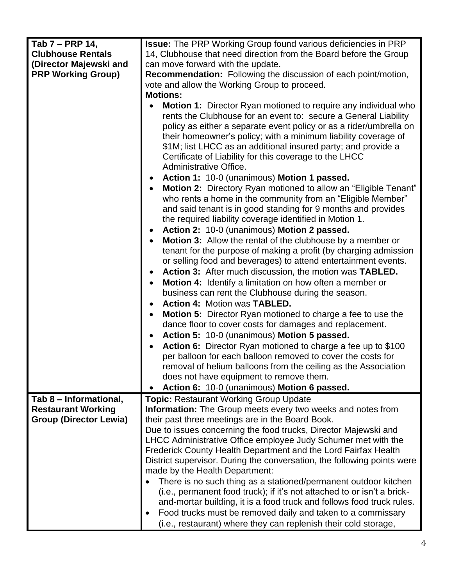| Tab 7 - PRP 14,               |                                                                                                                                                                                                                                                                                                                                                                                                                                                                                                                                                                                              |
|-------------------------------|----------------------------------------------------------------------------------------------------------------------------------------------------------------------------------------------------------------------------------------------------------------------------------------------------------------------------------------------------------------------------------------------------------------------------------------------------------------------------------------------------------------------------------------------------------------------------------------------|
|                               | <b>Issue:</b> The PRP Working Group found various deficiencies in PRP                                                                                                                                                                                                                                                                                                                                                                                                                                                                                                                        |
| <b>Clubhouse Rentals</b>      | 14, Clubhouse that need direction from the Board before the Group                                                                                                                                                                                                                                                                                                                                                                                                                                                                                                                            |
| (Director Majewski and        | can move forward with the update.                                                                                                                                                                                                                                                                                                                                                                                                                                                                                                                                                            |
| <b>PRP Working Group)</b>     | <b>Recommendation:</b> Following the discussion of each point/motion,                                                                                                                                                                                                                                                                                                                                                                                                                                                                                                                        |
|                               | vote and allow the Working Group to proceed.                                                                                                                                                                                                                                                                                                                                                                                                                                                                                                                                                 |
|                               | <b>Motions:</b>                                                                                                                                                                                                                                                                                                                                                                                                                                                                                                                                                                              |
|                               | <b>Motion 1:</b> Director Ryan motioned to require any individual who<br>rents the Clubhouse for an event to: secure a General Liability<br>policy as either a separate event policy or as a rider/umbrella on<br>their homeowner's policy; with a minimum liability coverage of<br>\$1M; list LHCC as an additional insured party; and provide a<br>Certificate of Liability for this coverage to the LHCC<br>Administrative Office.                                                                                                                                                        |
|                               | Action 1: 10-0 (unanimous) Motion 1 passed.                                                                                                                                                                                                                                                                                                                                                                                                                                                                                                                                                  |
|                               | Motion 2: Directory Ryan motioned to allow an "Eligible Tenant"<br>who rents a home in the community from an "Eligible Member"<br>and said tenant is in good standing for 9 months and provides<br>the required liability coverage identified in Motion 1.<br>Action 2: 10-0 (unanimous) Motion 2 passed.<br><b>Motion 3:</b> Allow the rental of the clubhouse by a member or<br>tenant for the purpose of making a profit (by charging admission<br>or selling food and beverages) to attend entertainment events.<br>Action 3: After much discussion, the motion was TABLED.<br>$\bullet$ |
|                               | Motion 4: Identify a limitation on how often a member or<br>$\bullet$                                                                                                                                                                                                                                                                                                                                                                                                                                                                                                                        |
|                               | business can rent the Clubhouse during the season.                                                                                                                                                                                                                                                                                                                                                                                                                                                                                                                                           |
|                               | Action 4: Motion was TABLED.                                                                                                                                                                                                                                                                                                                                                                                                                                                                                                                                                                 |
|                               | $\bullet$                                                                                                                                                                                                                                                                                                                                                                                                                                                                                                                                                                                    |
|                               | <b>Motion 5:</b> Director Ryan motioned to charge a fee to use the<br>$\bullet$                                                                                                                                                                                                                                                                                                                                                                                                                                                                                                              |
|                               | dance floor to cover costs for damages and replacement.                                                                                                                                                                                                                                                                                                                                                                                                                                                                                                                                      |
|                               | Action 5: 10-0 (unanimous) Motion 5 passed.<br>$\bullet$                                                                                                                                                                                                                                                                                                                                                                                                                                                                                                                                     |
|                               | Action 6: Director Ryan motioned to charge a fee up to \$100<br>per balloon for each balloon removed to cover the costs for                                                                                                                                                                                                                                                                                                                                                                                                                                                                  |
|                               | removal of helium balloons from the ceiling as the Association                                                                                                                                                                                                                                                                                                                                                                                                                                                                                                                               |
|                               | does not have equipment to remove them.                                                                                                                                                                                                                                                                                                                                                                                                                                                                                                                                                      |
|                               | Action 6: 10-0 (unanimous) Motion 6 passed.                                                                                                                                                                                                                                                                                                                                                                                                                                                                                                                                                  |
| Tab 8 – Informational,        | <b>Topic: Restaurant Working Group Update</b>                                                                                                                                                                                                                                                                                                                                                                                                                                                                                                                                                |
| <b>Restaurant Working</b>     | <b>Information:</b> The Group meets every two weeks and notes from                                                                                                                                                                                                                                                                                                                                                                                                                                                                                                                           |
| <b>Group (Director Lewia)</b> | their past three meetings are in the Board Book.                                                                                                                                                                                                                                                                                                                                                                                                                                                                                                                                             |
|                               |                                                                                                                                                                                                                                                                                                                                                                                                                                                                                                                                                                                              |
|                               | Due to issues concerning the food trucks, Director Majewski and                                                                                                                                                                                                                                                                                                                                                                                                                                                                                                                              |
|                               | LHCC Administrative Office employee Judy Schumer met with the                                                                                                                                                                                                                                                                                                                                                                                                                                                                                                                                |
|                               | Frederick County Health Department and the Lord Fairfax Health                                                                                                                                                                                                                                                                                                                                                                                                                                                                                                                               |
|                               | District supervisor. During the conversation, the following points were                                                                                                                                                                                                                                                                                                                                                                                                                                                                                                                      |
|                               | made by the Health Department:                                                                                                                                                                                                                                                                                                                                                                                                                                                                                                                                                               |
|                               | There is no such thing as a stationed/permanent outdoor kitchen<br>(i.e., permanent food truck); if it's not attached to or isn't a brick-<br>and-mortar building, it is a food truck and follows food truck rules.                                                                                                                                                                                                                                                                                                                                                                          |
|                               | Food trucks must be removed daily and taken to a commissary                                                                                                                                                                                                                                                                                                                                                                                                                                                                                                                                  |
|                               | (i.e., restaurant) where they can replenish their cold storage,                                                                                                                                                                                                                                                                                                                                                                                                                                                                                                                              |